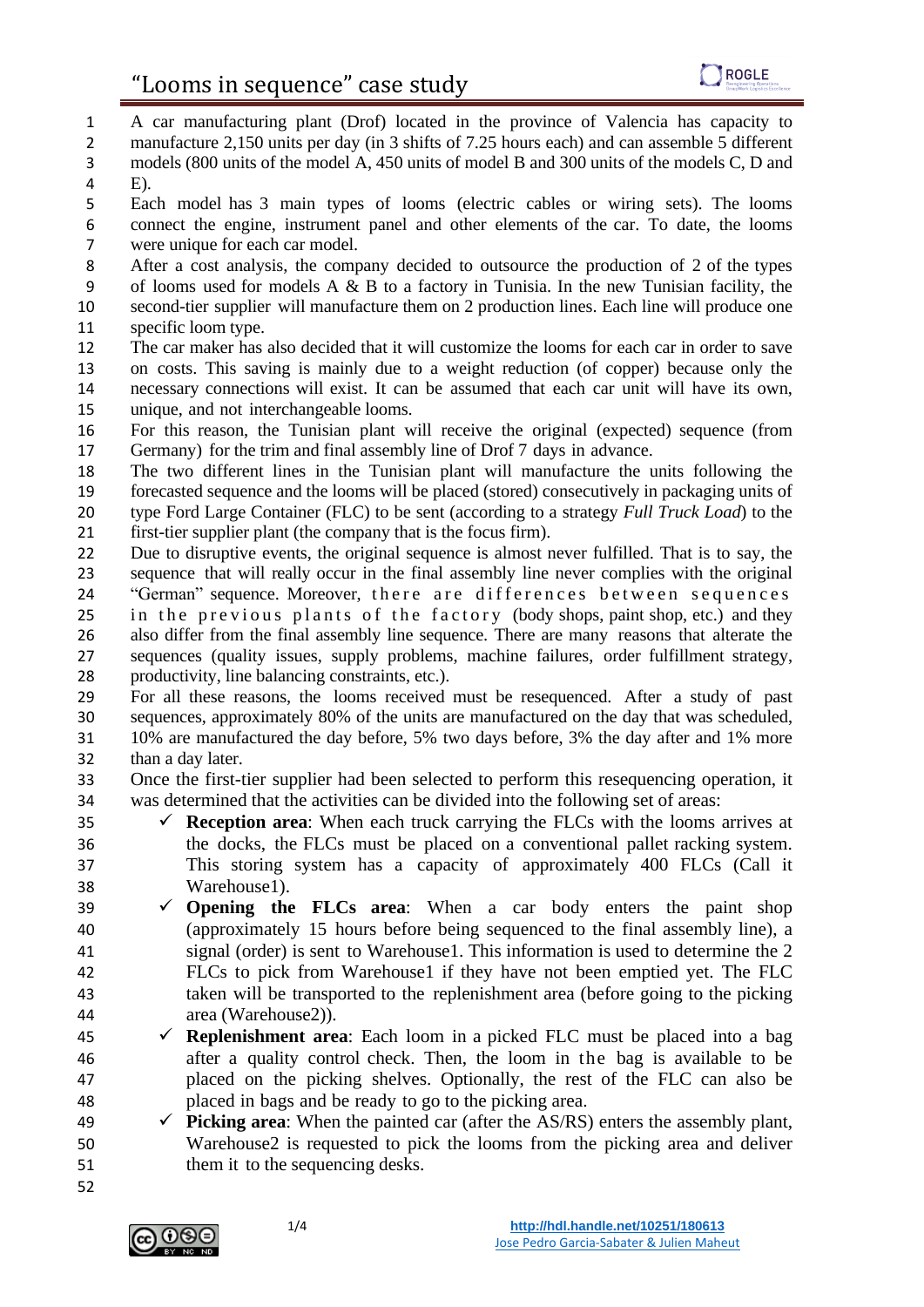A car manufacturing plant (Drof) located in the province of Valencia has capacity to 2 manufacture 2,150 units per day (in 3 shifts of 7.25 hours each) and can assemble 5 different models (800 units of the model A, 450 units of model B and 300 units of the models C, D and E).

- Each model has 3 main types of looms (electric cables or wiring sets). The looms connect the engine, instrument panel and other elements of the car. To date, the looms were unique for each car model.
- After a cost analysis, the company decided to outsource the production of 2 of the types of looms used for models A & B to a factory in Tunisia. In the new Tunisian facility, the second-tier supplier will manufacture them on 2 production lines. Each line will produce one specific loom type.
- The car maker has also decided that it will customize the looms for each car in order to save on costs. This saving is mainly due to a weight reduction (of copper) because only the necessary connections will exist. It can be assumed that each car unit will have its own, unique, and not interchangeable looms.
- For this reason, the Tunisian plant will receive the original (expected) sequence (from Germany) for the trim and final assembly line of Drof 7 days in advance.
- The two different lines in the Tunisian plant will manufacture the units following the forecasted sequence and the looms will be placed (stored) consecutively in packaging units of type Ford Large Container (FLC) to be sent (according to a strategy *Full Truck Load*) to the first-tier supplier plant (the company that is the focus firm).
- Due to disruptive events, the original sequence is almost never fulfilled. That is to say, the sequence that will really occur in the final assembly line never complies with the original 24 "German" sequence. Moreover, there are differences between sequences 25 in the previous plants of the factory (body shops, paint shop, etc.) and they also differ from the final assembly line sequence. There are many reasons that alterate the sequences (quality issues, supply problems, machine failures, order fulfillment strategy, productivity, line balancing constraints, etc.).
- For all these reasons, the looms received must be resequenced. After a study of past sequences, approximately 80% of the units are manufactured on the day that was scheduled, 10% are manufactured the day before, 5% two days before, 3% the day after and 1% more than a day later.
- Once the first-tier supplier had been selected to perform this resequencing operation, it was determined that the activities can be divided into the following set of areas:
- $\checkmark$  **Reception area**: When each truck carrying the FLCs with the looms arrives at the docks, the FLCs must be placed on a conventional pallet racking system. This storing system has a capacity of approximately 400 FLCs (Call it Warehouse1).
- 39  $\checkmark$  **Opening the FLCs area**: When a car body enters the paint shop (approximately 15 hours before being sequenced to the final assembly line), a signal (order) is sent to Warehouse1. This information is used to determine the 2 FLCs to pick from Warehouse1 if they have not been emptied yet. The FLC taken will be transported to the replenishment area (before going to the picking area (Warehouse2)).
- ✓ **Replenishment area**: Each loom in a picked FLC must be placed into a bag after a quality control check. Then, the loom in the bag is available to be placed on the picking shelves. Optionally, the rest of the FLC can also be placed in bags and be ready to go to the picking area.
- ✓ **Picking area**: When the painted car (after the AS/RS) enters the assembly plant, Warehouse2 is requested to pick the looms from the picking area and deliver 51 them it to the sequencing desks.
- 

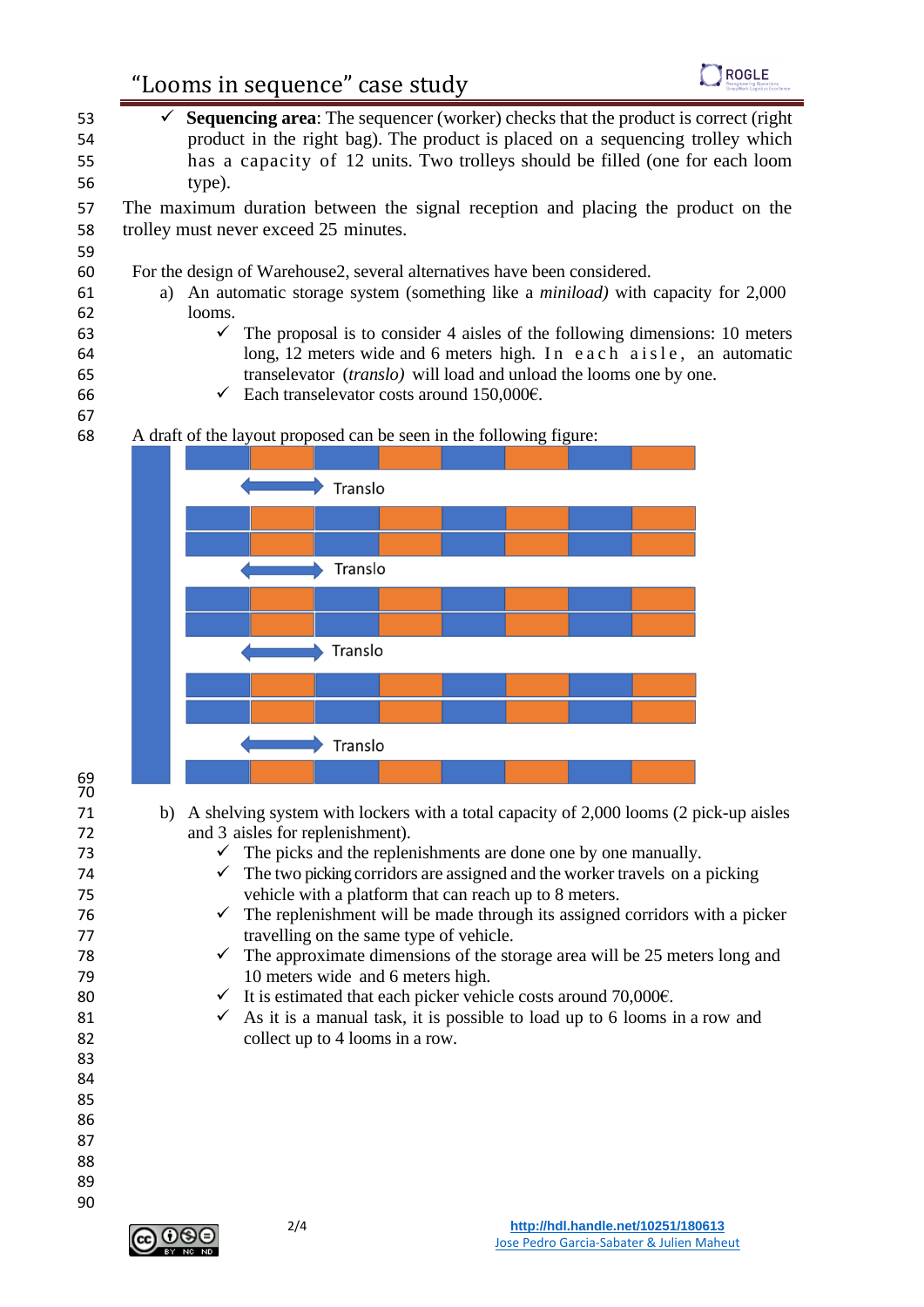## "Looms in sequence" case study



 ✓ **Sequencing area**: The sequencer (worker) checks that the product is correct (right product in the right bag). The product is placed on a sequencing trolley which has a capacity of 12 units. Two trolleys should be filled (one for each loom type). The maximum duration between the signal reception and placing the product on the trolley must never exceed 25 minutes. For the design of Warehouse2, several alternatives have been considered. a) An automatic storage system (something like a *miniload)* with capacity for 2,000 62  $\log_{10}$  looms.  $\checkmark$  The proposal is to consider 4 aisles of the following dimensions: 10 meters 64 long, 12 meters wide and 6 meters high. In each a is le, an automatic transelevator (*translo)* will load and unload the looms one by one. 66  $\checkmark$  Each transelevator costs around 150,000€. A draft of the layout proposed can be seen in the following figure: Translo Translo Translo Translo b) A shelving system with lockers with a total capacity of 2,000 looms (2 pick-up aisles and 3 aisles for replenishment). 73  $\checkmark$  The picks and the replenishments are done one by one manually.  $\checkmark$  The two picking corridors are assigned and the worker travels on a picking vehicle with a platform that can reach up to 8 meters.  $\checkmark$  The replenishment will be made through its assigned corridors with a picker travelling on the same type of vehicle. 78  $\checkmark$  The approximate dimensions of the storage area will be 25 meters long and 10 meters wide and 6 meters high. 80  $\checkmark$  It is estimated that each picker vehicle costs around 70,000 $\hat{\epsilon}$ . 81  $\checkmark$  As it is a manual task, it is possible to load up to 6 looms in a row and collect up to 4 looms in a row. 

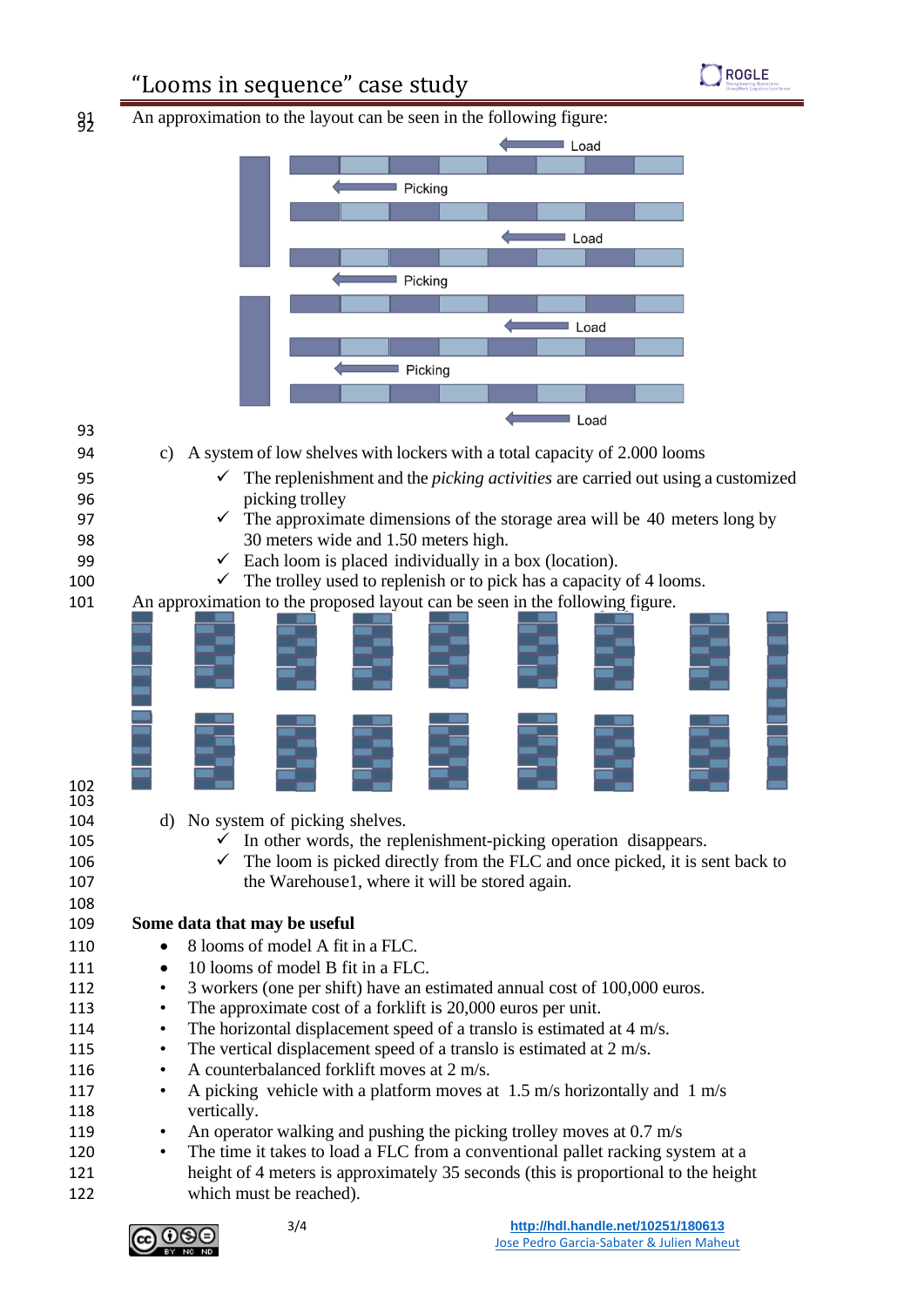

## "Looms in sequence" case study



| 93         |                                                                                        |
|------------|----------------------------------------------------------------------------------------|
| 94         | A system of low shelves with lockers with a total capacity of 2.000 looms<br>C)        |
| 95         | The replenishment and the <i>picking activities</i> are carried out using a customized |
| 96         | picking trolley                                                                        |
| 97         | The approximate dimensions of the storage area will be 40 meters long by               |
| 98         | 30 meters wide and 1.50 meters high.                                                   |
| 99         | Each loom is placed individually in a box (location).<br>$\checkmark$                  |
| 100        | The trolley used to replenish or to pick has a capacity of 4 looms.                    |
| 101        | An approximation to the proposed layout can be seen in the following figure.           |
| 102<br>103 |                                                                                        |
| 104        | d) No system of picking shelves.                                                       |
| 105        | In other words, the replenishment-picking operation disappears.<br>v.                  |
| 106        | The loom is picked directly from the FLC and once picked, it is sent back to           |
| 107        | the Warehouse1, where it will be stored again.                                         |
| 108        |                                                                                        |
| 109        | Some data that may be useful                                                           |
| 110        | 8 looms of model A fit in a FLC.                                                       |
| 111        | 10 looms of model B fit in a FLC.<br>$\bullet$                                         |
| 112        | 3 workers (one per shift) have an estimated annual cost of 100,000 euros.<br>$\bullet$ |
| 113        | The approximate cost of a forklift is 20,000 euros per unit.                           |
| 114        | The horizontal displacement speed of a translo is estimated at 4 m/s.<br>٠             |

- 115 The vertical displacement speed of a translo is estimated at 2 m/s.
- 116 A counterbalanced for klift moves at 2 m/s.
- 117 A picking vehicle with a platform moves at 1.5 m/s horizontally and 1 m/s vertically.
- 119 An operator walking and pushing the picking trolley moves at 0.7 m/s
- The time it takes to load a FLC from a conventional pallet racking system at a height of 4 meters is approximately 35 seconds (this is proportional to the height which must be reached).